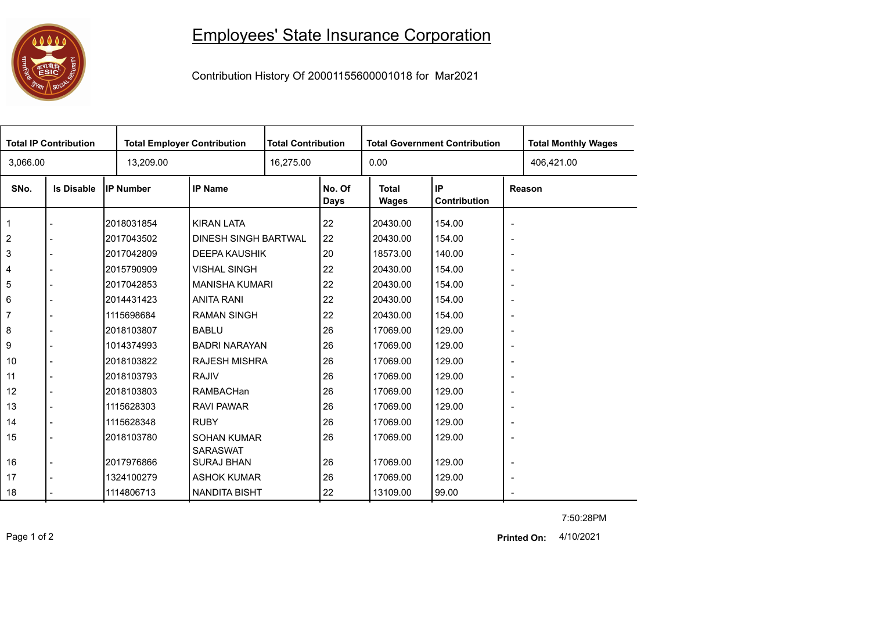## 0000

## Employees' State Insurance Corporation

Contribution History Of 20001155600001018 for Mar2021

| <b>Total IP Contribution</b> |                   |                  | <b>Total Employer Contribution</b>   |  | <b>Total Contribution</b> |                       | <b>Total Government Contribution</b> | <b>Total Monthly Wages</b> |  |  |
|------------------------------|-------------------|------------------|--------------------------------------|--|---------------------------|-----------------------|--------------------------------------|----------------------------|--|--|
| 3,066.00                     |                   | 13,209.00        |                                      |  | 16,275.00                 |                       |                                      | 406,421.00                 |  |  |
| SNo.                         | <b>Is Disable</b> | <b>IP Number</b> | <b>IP Name</b>                       |  | No. Of<br>Days            | <b>Total</b><br>Wages | IP<br>Contribution                   | Reason                     |  |  |
| 1                            |                   | 2018031854       | <b>KIRAN LATA</b>                    |  | 22                        | 20430.00              | 154.00                               | $\overline{\phantom{a}}$   |  |  |
| $\overline{2}$               |                   | 2017043502       | <b>DINESH SINGH BARTWAL</b>          |  | 22                        | 20430.00              | 154.00                               | $\overline{\phantom{a}}$   |  |  |
| 3                            |                   | 2017042809       | <b>DEEPA KAUSHIK</b>                 |  | 20                        | 18573.00              | 140.00                               | $\overline{\phantom{a}}$   |  |  |
| 4                            |                   | 2015790909       | <b>VISHAL SINGH</b>                  |  | 22                        | 20430.00              | 154.00                               | $\overline{\phantom{a}}$   |  |  |
| 5                            |                   | 2017042853       | <b>MANISHA KUMARI</b>                |  | 22                        | 20430.00              | 154.00                               | $\overline{\phantom{a}}$   |  |  |
| 6                            |                   | 2014431423       | <b>ANITA RANI</b>                    |  | 22                        | 20430.00              | 154.00                               | $\overline{\phantom{a}}$   |  |  |
| 7                            |                   | 1115698684       | <b>RAMAN SINGH</b>                   |  | 22                        | 20430.00              | 154.00                               | $\overline{\phantom{a}}$   |  |  |
| 8                            |                   | 2018103807       | <b>BABLU</b>                         |  | 26                        | 17069.00              | 129.00                               | $\overline{\phantom{a}}$   |  |  |
| 9                            |                   | 1014374993       | <b>BADRI NARAYAN</b>                 |  | 26                        | 17069.00              | 129.00                               | $\overline{\phantom{a}}$   |  |  |
| 10                           |                   | 2018103822       | <b>RAJESH MISHRA</b>                 |  | 26                        | 17069.00              | 129.00                               | $\overline{\phantom{a}}$   |  |  |
| 11                           | $\blacksquare$    | 2018103793       | <b>RAJIV</b>                         |  | 26                        | 17069.00              | 129.00                               | $\overline{\phantom{a}}$   |  |  |
| 12                           |                   | 2018103803       | RAMBACHan                            |  | 26                        | 17069.00              | 129.00                               | $\overline{\phantom{a}}$   |  |  |
| 13                           |                   | 1115628303       | <b>RAVI PAWAR</b>                    |  | 26                        | 17069.00              | 129.00                               | $\overline{\phantom{a}}$   |  |  |
| 14                           |                   | 1115628348       | <b>RUBY</b>                          |  | 26                        | 17069.00              | 129.00                               | $\overline{\phantom{a}}$   |  |  |
| 15                           |                   | 2018103780       | <b>SOHAN KUMAR</b>                   |  | 26                        | 17069.00              | 129.00                               |                            |  |  |
| 16                           |                   | 2017976866       | <b>SARASWAT</b><br><b>SURAJ BHAN</b> |  | 26                        | 17069.00              | 129.00                               | $\overline{\phantom{a}}$   |  |  |
| 17                           |                   | 1324100279       | <b>ASHOK KUMAR</b>                   |  | 26                        | 17069.00              | 129.00                               |                            |  |  |
| 18                           |                   | 1114806713       | <b>NANDITA BISHT</b>                 |  | 22                        | 13109.00              | 99.00                                | $\overline{\phantom{a}}$   |  |  |
|                              |                   |                  |                                      |  |                           |                       |                                      |                            |  |  |

7:50:28PM